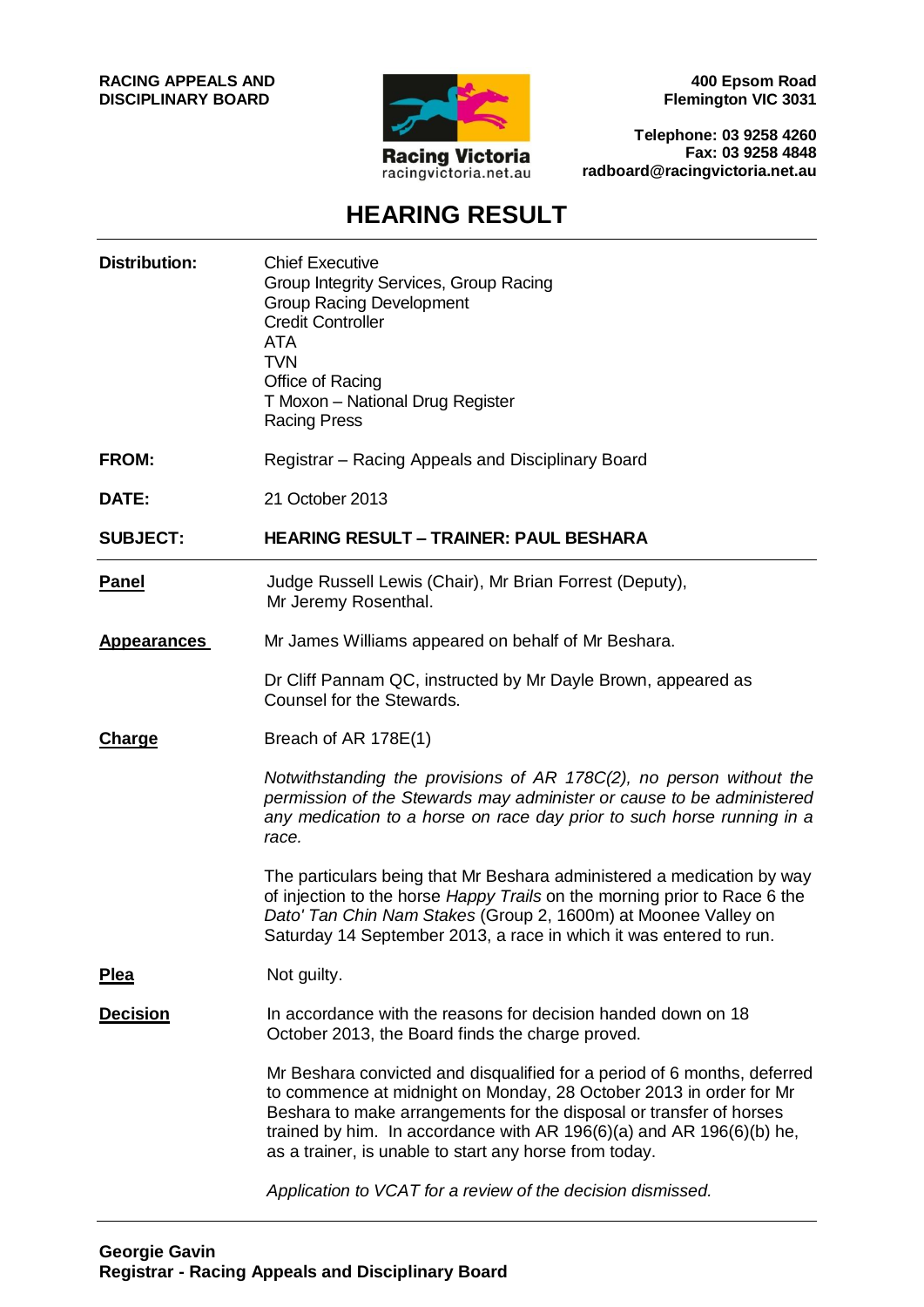**RACING APPEALS AND DISCIPLINARY BOARD**



**400 Epsom Road Flemington VIC 3031**

**Telephone: 03 9258 4260 Fax: 03 9258 4848 radboard@racingvictoria.net.au**

# **HEARING RESULT**

| <b>Distribution:</b> | <b>Chief Executive</b><br>Group Integrity Services, Group Racing<br><b>Group Racing Development</b><br><b>Credit Controller</b><br><b>ATA</b><br><b>TVN</b><br>Office of Racing<br>T Moxon - National Drug Register<br><b>Racing Press</b>                                                                                                              |  |
|----------------------|---------------------------------------------------------------------------------------------------------------------------------------------------------------------------------------------------------------------------------------------------------------------------------------------------------------------------------------------------------|--|
| <b>FROM:</b>         | Registrar – Racing Appeals and Disciplinary Board                                                                                                                                                                                                                                                                                                       |  |
| DATE:                | 21 October 2013                                                                                                                                                                                                                                                                                                                                         |  |
| <b>SUBJECT:</b>      | <b>HEARING RESULT - TRAINER: PAUL BESHARA</b>                                                                                                                                                                                                                                                                                                           |  |
| <b>Panel</b>         | Judge Russell Lewis (Chair), Mr Brian Forrest (Deputy),<br>Mr Jeremy Rosenthal.                                                                                                                                                                                                                                                                         |  |
| <b>Appearances</b>   | Mr James Williams appeared on behalf of Mr Beshara.                                                                                                                                                                                                                                                                                                     |  |
|                      | Dr Cliff Pannam QC, instructed by Mr Dayle Brown, appeared as<br>Counsel for the Stewards.                                                                                                                                                                                                                                                              |  |
| <b>Charge</b>        | Breach of AR 178E(1)                                                                                                                                                                                                                                                                                                                                    |  |
|                      | Notwithstanding the provisions of AR 178C(2), no person without the<br>permission of the Stewards may administer or cause to be administered<br>any medication to a horse on race day prior to such horse running in a<br>race.                                                                                                                         |  |
|                      | The particulars being that Mr Beshara administered a medication by way<br>of injection to the horse Happy Trails on the morning prior to Race 6 the<br>Dato' Tan Chin Nam Stakes (Group 2, 1600m) at Moonee Valley on<br>Saturday 14 September 2013, a race in which it was entered to run.                                                             |  |
| <b>Plea</b>          | Not guilty.                                                                                                                                                                                                                                                                                                                                             |  |
| <b>Decision</b>      | In accordance with the reasons for decision handed down on 18<br>October 2013, the Board finds the charge proved.                                                                                                                                                                                                                                       |  |
|                      | Mr Beshara convicted and disqualified for a period of 6 months, deferred<br>to commence at midnight on Monday, 28 October 2013 in order for Mr<br>Beshara to make arrangements for the disposal or transfer of horses<br>trained by him. In accordance with AR 196(6)(a) and AR 196(6)(b) he,<br>as a trainer, is unable to start any horse from today. |  |
|                      | Application to VCAT for a review of the decision dismissed.                                                                                                                                                                                                                                                                                             |  |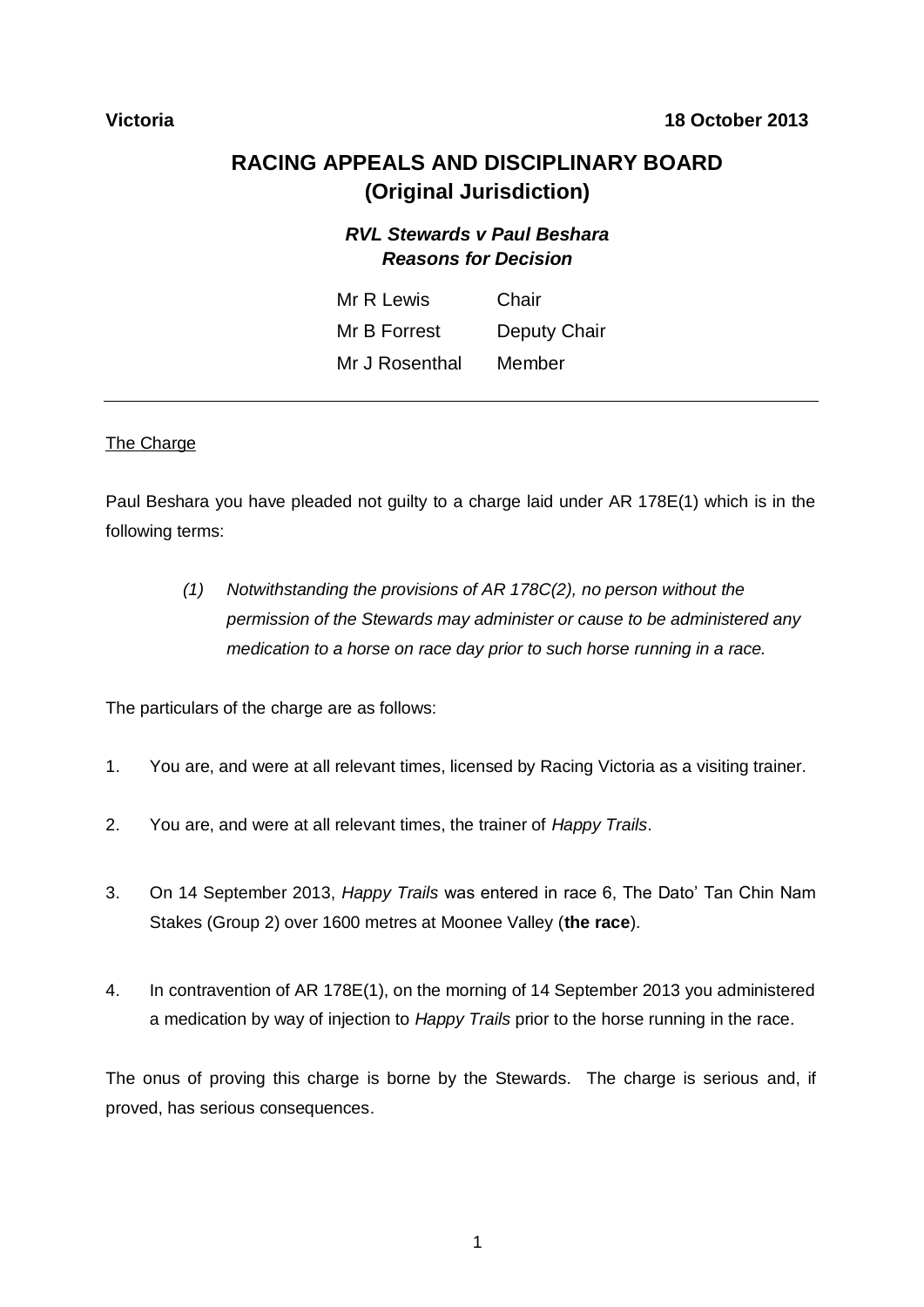# **RACING APPEALS AND DISCIPLINARY BOARD (Original Jurisdiction)**

# *RVL Stewards v Paul Beshara Reasons for Decision*

| Mr R Lewis     | Chair        |
|----------------|--------------|
| Mr B Forrest   | Deputy Chair |
| Mr J Rosenthal | Member       |

#### The Charge

Paul Beshara you have pleaded not guilty to a charge laid under AR 178E(1) which is in the following terms:

> *(1) Notwithstanding the provisions of AR 178C(2), no person without the permission of the Stewards may administer or cause to be administered any medication to a horse on race day prior to such horse running in a race.*

The particulars of the charge are as follows:

- 1. You are, and were at all relevant times, licensed by Racing Victoria as a visiting trainer.
- 2. You are, and were at all relevant times, the trainer of *Happy Trails*.
- 3. On 14 September 2013, *Happy Trails* was entered in race 6, The Dato' Tan Chin Nam Stakes (Group 2) over 1600 metres at Moonee Valley (**the race**).
- 4. In contravention of AR 178E(1), on the morning of 14 September 2013 you administered a medication by way of injection to *Happy Trails* prior to the horse running in the race.

The onus of proving this charge is borne by the Stewards. The charge is serious and, if proved, has serious consequences.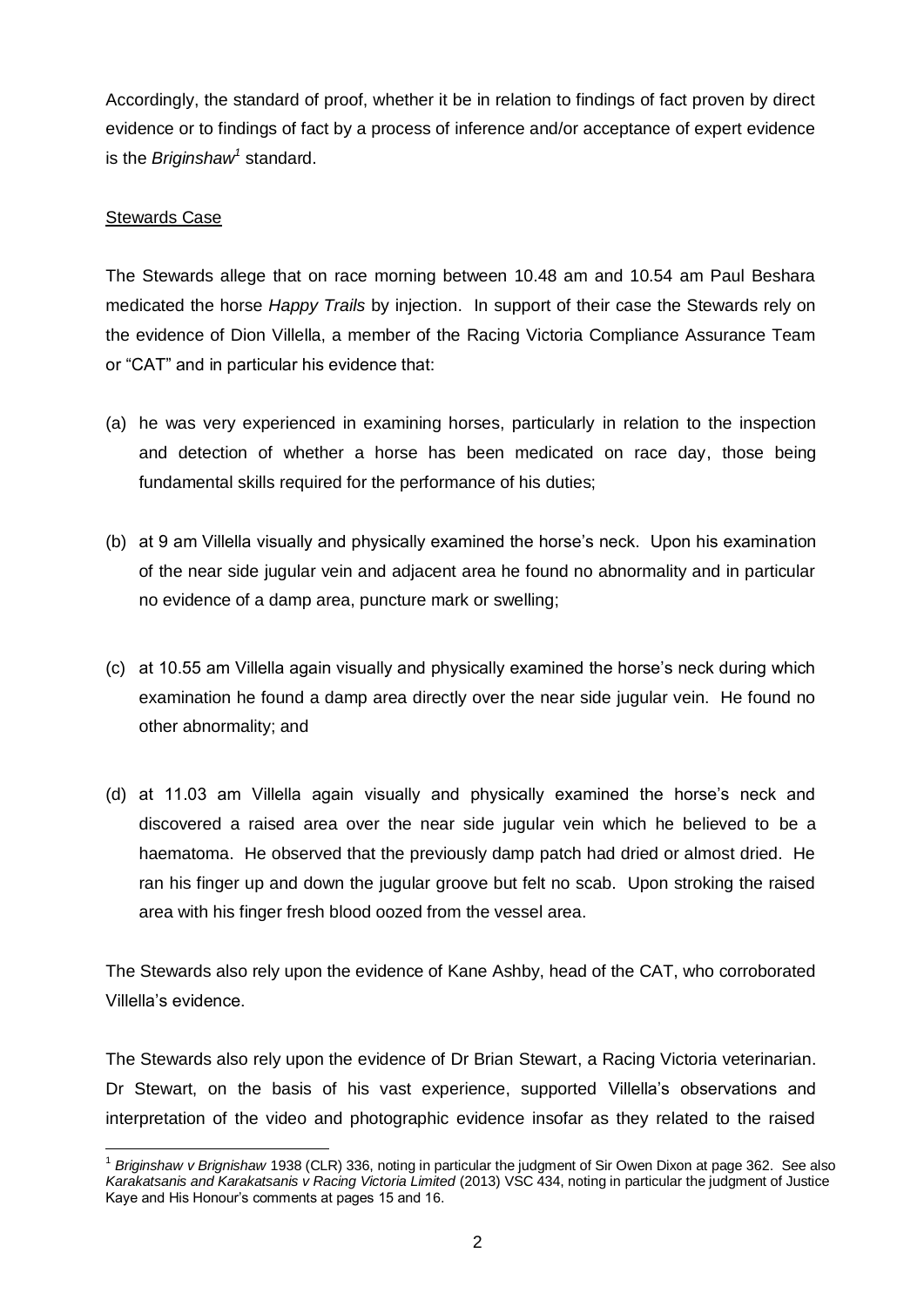Accordingly, the standard of proof, whether it be in relation to findings of fact proven by direct evidence or to findings of fact by a process of inference and/or acceptance of expert evidence is the *Briginshaw<sup>1</sup>* standard.

### Stewards Case

The Stewards allege that on race morning between 10.48 am and 10.54 am Paul Beshara medicated the horse *Happy Trails* by injection. In support of their case the Stewards rely on the evidence of Dion Villella, a member of the Racing Victoria Compliance Assurance Team or "CAT" and in particular his evidence that:

- (a) he was very experienced in examining horses, particularly in relation to the inspection and detection of whether a horse has been medicated on race day, those being fundamental skills required for the performance of his duties;
- (b) at 9 am Villella visually and physically examined the horse's neck. Upon his examination of the near side jugular vein and adjacent area he found no abnormality and in particular no evidence of a damp area, puncture mark or swelling;
- (c) at 10.55 am Villella again visually and physically examined the horse's neck during which examination he found a damp area directly over the near side jugular vein. He found no other abnormality; and
- (d) at 11.03 am Villella again visually and physically examined the horse's neck and discovered a raised area over the near side jugular vein which he believed to be a haematoma. He observed that the previously damp patch had dried or almost dried. He ran his finger up and down the jugular groove but felt no scab. Upon stroking the raised area with his finger fresh blood oozed from the vessel area.

The Stewards also rely upon the evidence of Kane Ashby, head of the CAT, who corroborated Villella's evidence.

The Stewards also rely upon the evidence of Dr Brian Stewart, a Racing Victoria veterinarian. Dr Stewart, on the basis of his vast experience, supported Villella's observations and interpretation of the video and photographic evidence insofar as they related to the raised

 $\overline{a}$ <sup>1</sup> *Briginshaw v Brignishaw* 1938 (CLR) 336, noting in particular the judgment of Sir Owen Dixon at page 362. See also *Karakatsanis and Karakatsanis v Racing Victoria Limited* (2013) VSC 434, noting in particular the judgment of Justice Kaye and His Honour's comments at pages 15 and 16.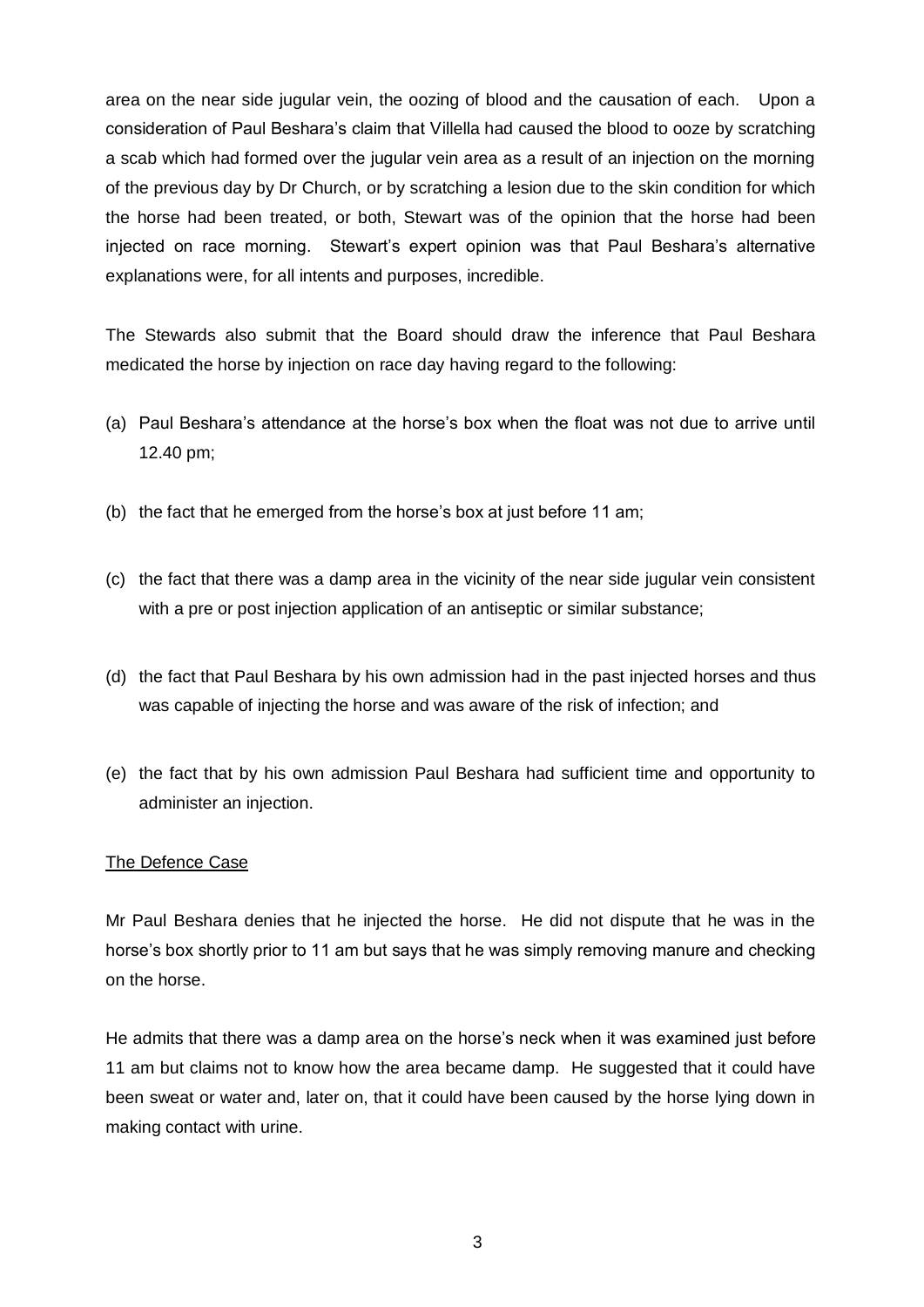area on the near side jugular vein, the oozing of blood and the causation of each. Upon a consideration of Paul Beshara's claim that Villella had caused the blood to ooze by scratching a scab which had formed over the jugular vein area as a result of an injection on the morning of the previous day by Dr Church, or by scratching a lesion due to the skin condition for which the horse had been treated, or both, Stewart was of the opinion that the horse had been injected on race morning. Stewart's expert opinion was that Paul Beshara's alternative explanations were, for all intents and purposes, incredible.

The Stewards also submit that the Board should draw the inference that Paul Beshara medicated the horse by injection on race day having regard to the following:

- (a) Paul Beshara's attendance at the horse's box when the float was not due to arrive until 12.40 pm;
- (b) the fact that he emerged from the horse's box at just before 11 am;
- (c) the fact that there was a damp area in the vicinity of the near side jugular vein consistent with a pre or post injection application of an antiseptic or similar substance;
- (d) the fact that Paul Beshara by his own admission had in the past injected horses and thus was capable of injecting the horse and was aware of the risk of infection; and
- (e) the fact that by his own admission Paul Beshara had sufficient time and opportunity to administer an injection.

#### The Defence Case

Mr Paul Beshara denies that he injected the horse. He did not dispute that he was in the horse's box shortly prior to 11 am but says that he was simply removing manure and checking on the horse.

He admits that there was a damp area on the horse's neck when it was examined just before 11 am but claims not to know how the area became damp. He suggested that it could have been sweat or water and, later on, that it could have been caused by the horse lying down in making contact with urine.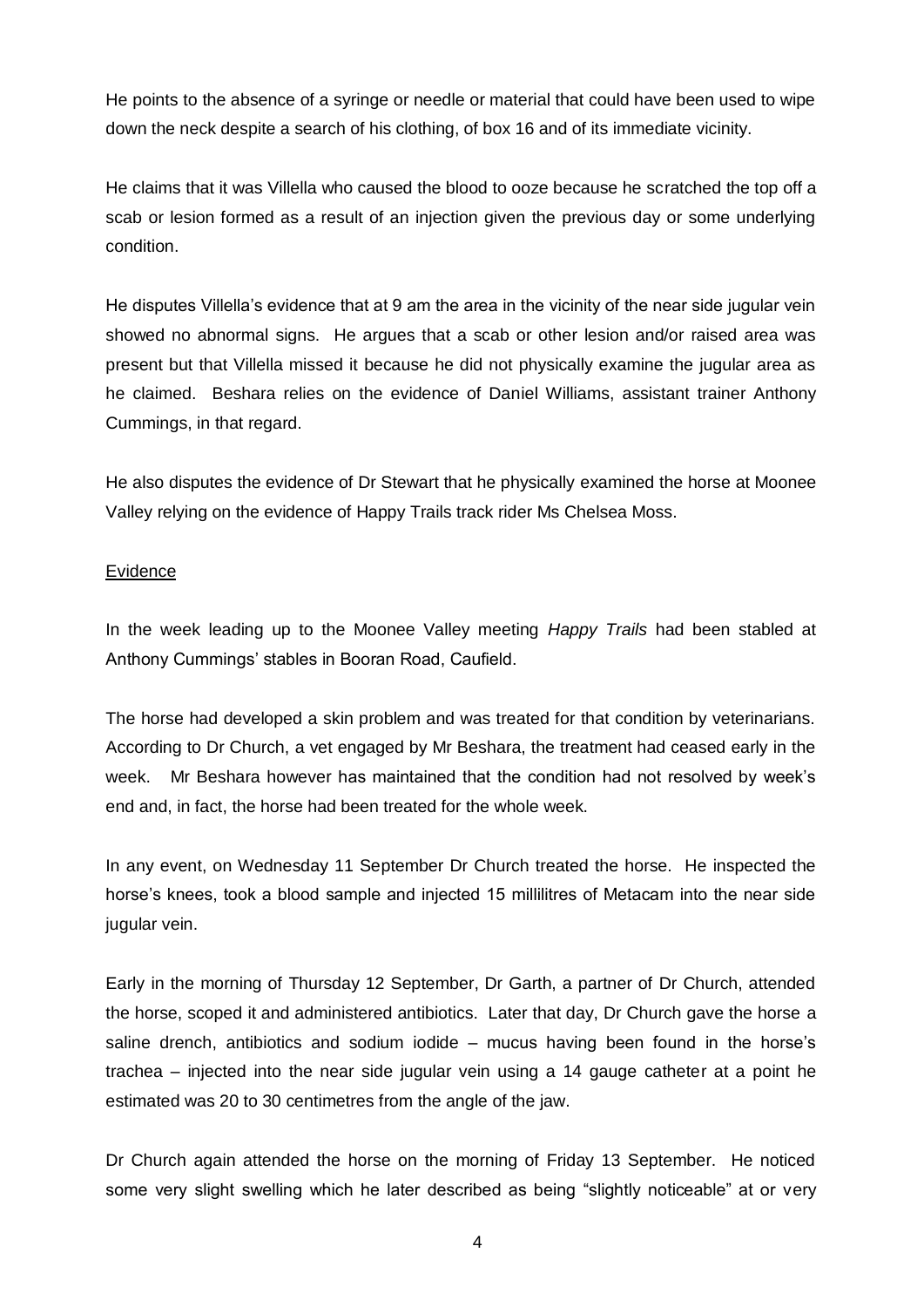He points to the absence of a syringe or needle or material that could have been used to wipe down the neck despite a search of his clothing, of box 16 and of its immediate vicinity.

He claims that it was Villella who caused the blood to ooze because he scratched the top off a scab or lesion formed as a result of an injection given the previous day or some underlying condition.

He disputes Villella's evidence that at 9 am the area in the vicinity of the near side jugular vein showed no abnormal signs. He argues that a scab or other lesion and/or raised area was present but that Villella missed it because he did not physically examine the jugular area as he claimed. Beshara relies on the evidence of Daniel Williams, assistant trainer Anthony Cummings, in that regard.

He also disputes the evidence of Dr Stewart that he physically examined the horse at Moonee Valley relying on the evidence of Happy Trails track rider Ms Chelsea Moss.

#### Evidence

In the week leading up to the Moonee Valley meeting *Happy Trails* had been stabled at Anthony Cummings' stables in Booran Road, Caufield.

The horse had developed a skin problem and was treated for that condition by veterinarians. According to Dr Church, a vet engaged by Mr Beshara, the treatment had ceased early in the week. Mr Beshara however has maintained that the condition had not resolved by week's end and, in fact, the horse had been treated for the whole week.

In any event, on Wednesday 11 September Dr Church treated the horse. He inspected the horse's knees, took a blood sample and injected 15 millilitres of Metacam into the near side jugular vein.

Early in the morning of Thursday 12 September, Dr Garth, a partner of Dr Church, attended the horse, scoped it and administered antibiotics. Later that day, Dr Church gave the horse a saline drench, antibiotics and sodium iodide – mucus having been found in the horse's trachea – injected into the near side jugular vein using a 14 gauge catheter at a point he estimated was 20 to 30 centimetres from the angle of the jaw.

Dr Church again attended the horse on the morning of Friday 13 September. He noticed some very slight swelling which he later described as being "slightly noticeable" at or very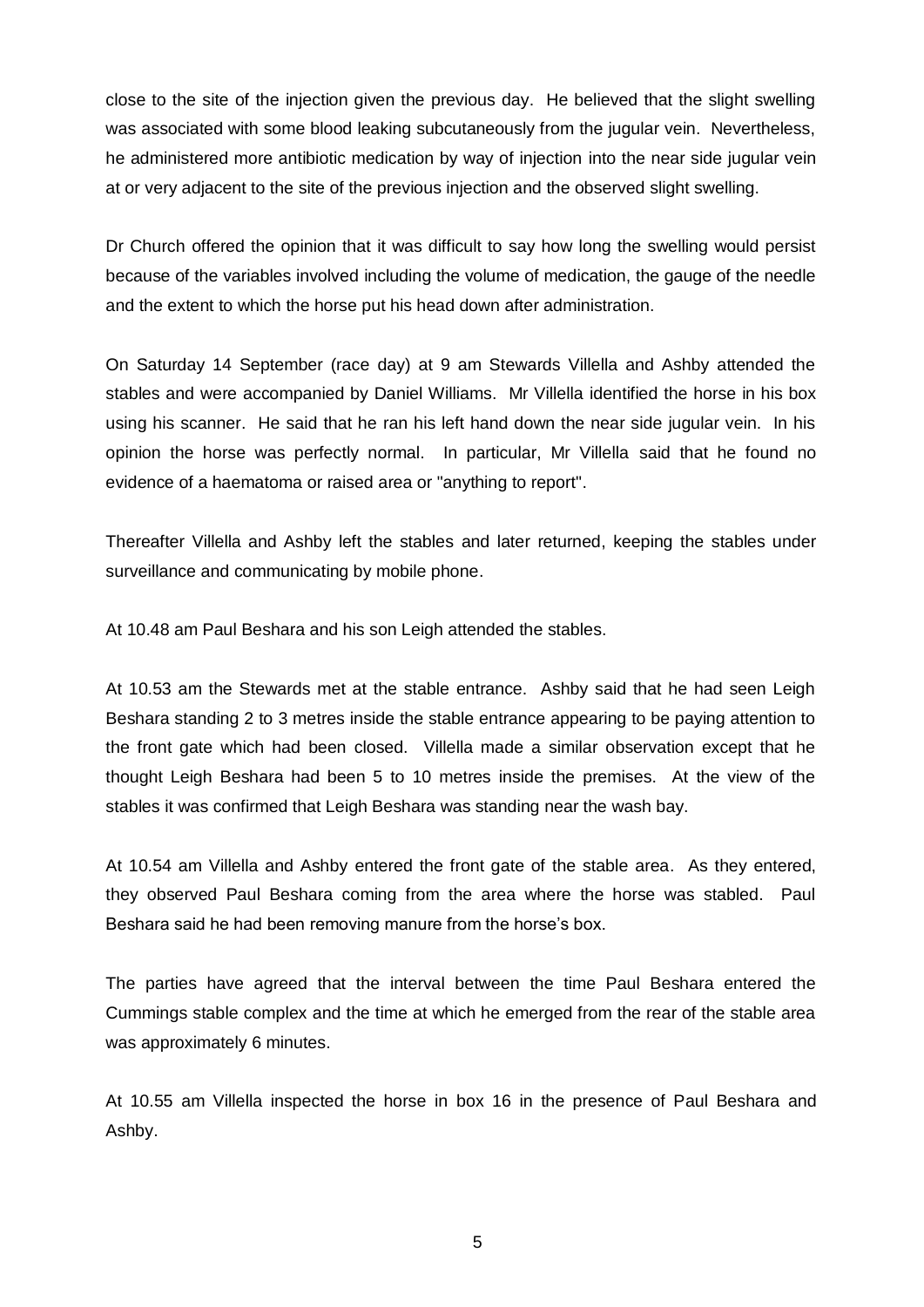close to the site of the injection given the previous day. He believed that the slight swelling was associated with some blood leaking subcutaneously from the jugular vein. Nevertheless, he administered more antibiotic medication by way of injection into the near side jugular vein at or very adjacent to the site of the previous injection and the observed slight swelling.

Dr Church offered the opinion that it was difficult to say how long the swelling would persist because of the variables involved including the volume of medication, the gauge of the needle and the extent to which the horse put his head down after administration.

On Saturday 14 September (race day) at 9 am Stewards Villella and Ashby attended the stables and were accompanied by Daniel Williams. Mr Villella identified the horse in his box using his scanner. He said that he ran his left hand down the near side jugular vein. In his opinion the horse was perfectly normal. In particular, Mr Villella said that he found no evidence of a haematoma or raised area or "anything to report".

Thereafter Villella and Ashby left the stables and later returned, keeping the stables under surveillance and communicating by mobile phone.

At 10.48 am Paul Beshara and his son Leigh attended the stables.

At 10.53 am the Stewards met at the stable entrance. Ashby said that he had seen Leigh Beshara standing 2 to 3 metres inside the stable entrance appearing to be paying attention to the front gate which had been closed. Villella made a similar observation except that he thought Leigh Beshara had been 5 to 10 metres inside the premises. At the view of the stables it was confirmed that Leigh Beshara was standing near the wash bay.

At 10.54 am Villella and Ashby entered the front gate of the stable area. As they entered, they observed Paul Beshara coming from the area where the horse was stabled. Paul Beshara said he had been removing manure from the horse's box.

The parties have agreed that the interval between the time Paul Beshara entered the Cummings stable complex and the time at which he emerged from the rear of the stable area was approximately 6 minutes.

At 10.55 am Villella inspected the horse in box 16 in the presence of Paul Beshara and Ashby.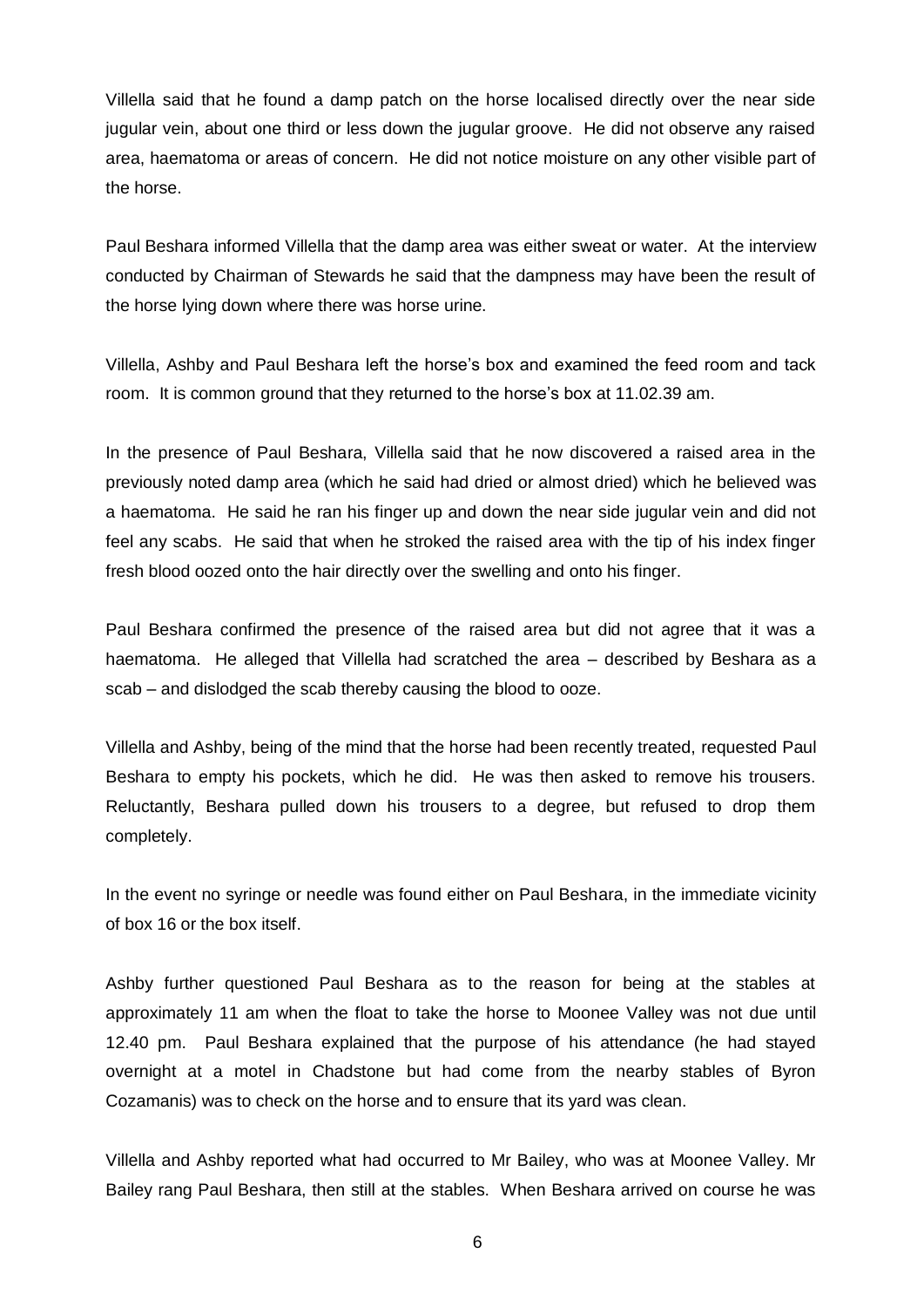Villella said that he found a damp patch on the horse localised directly over the near side jugular vein, about one third or less down the jugular groove. He did not observe any raised area, haematoma or areas of concern. He did not notice moisture on any other visible part of the horse.

Paul Beshara informed Villella that the damp area was either sweat or water. At the interview conducted by Chairman of Stewards he said that the dampness may have been the result of the horse lying down where there was horse urine.

Villella, Ashby and Paul Beshara left the horse's box and examined the feed room and tack room. It is common ground that they returned to the horse's box at 11.02.39 am.

In the presence of Paul Beshara, Villella said that he now discovered a raised area in the previously noted damp area (which he said had dried or almost dried) which he believed was a haematoma. He said he ran his finger up and down the near side jugular vein and did not feel any scabs. He said that when he stroked the raised area with the tip of his index finger fresh blood oozed onto the hair directly over the swelling and onto his finger.

Paul Beshara confirmed the presence of the raised area but did not agree that it was a haematoma. He alleged that Villella had scratched the area – described by Beshara as a scab – and dislodged the scab thereby causing the blood to ooze.

Villella and Ashby, being of the mind that the horse had been recently treated, requested Paul Beshara to empty his pockets, which he did. He was then asked to remove his trousers. Reluctantly, Beshara pulled down his trousers to a degree, but refused to drop them completely.

In the event no syringe or needle was found either on Paul Beshara, in the immediate vicinity of box 16 or the box itself.

Ashby further questioned Paul Beshara as to the reason for being at the stables at approximately 11 am when the float to take the horse to Moonee Valley was not due until 12.40 pm. Paul Beshara explained that the purpose of his attendance (he had stayed overnight at a motel in Chadstone but had come from the nearby stables of Byron Cozamanis) was to check on the horse and to ensure that its yard was clean.

Villella and Ashby reported what had occurred to Mr Bailey, who was at Moonee Valley. Mr Bailey rang Paul Beshara, then still at the stables. When Beshara arrived on course he was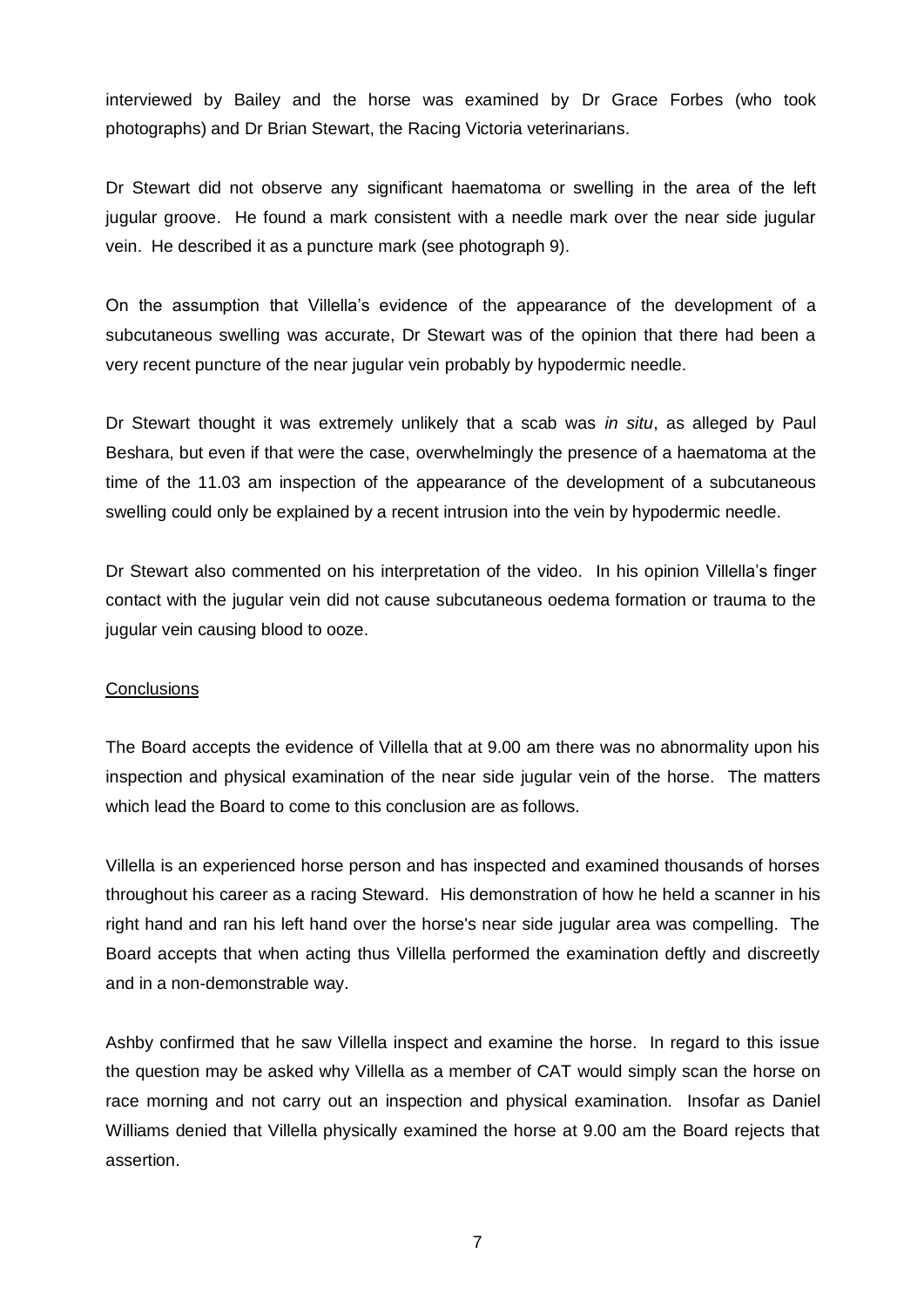interviewed by Bailey and the horse was examined by Dr Grace Forbes (who took photographs) and Dr Brian Stewart, the Racing Victoria veterinarians.

Dr Stewart did not observe any significant haematoma or swelling in the area of the left jugular groove. He found a mark consistent with a needle mark over the near side jugular vein. He described it as a puncture mark (see photograph 9).

On the assumption that Villella's evidence of the appearance of the development of a subcutaneous swelling was accurate, Dr Stewart was of the opinion that there had been a very recent puncture of the near jugular vein probably by hypodermic needle.

Dr Stewart thought it was extremely unlikely that a scab was *in situ*, as alleged by Paul Beshara, but even if that were the case, overwhelmingly the presence of a haematoma at the time of the 11.03 am inspection of the appearance of the development of a subcutaneous swelling could only be explained by a recent intrusion into the vein by hypodermic needle.

Dr Stewart also commented on his interpretation of the video. In his opinion Villella's finger contact with the jugular vein did not cause subcutaneous oedema formation or trauma to the jugular vein causing blood to ooze.

#### **Conclusions**

The Board accepts the evidence of Villella that at 9.00 am there was no abnormality upon his inspection and physical examination of the near side jugular vein of the horse. The matters which lead the Board to come to this conclusion are as follows.

Villella is an experienced horse person and has inspected and examined thousands of horses throughout his career as a racing Steward. His demonstration of how he held a scanner in his right hand and ran his left hand over the horse's near side jugular area was compelling. The Board accepts that when acting thus Villella performed the examination deftly and discreetly and in a non-demonstrable way.

Ashby confirmed that he saw Villella inspect and examine the horse. In regard to this issue the question may be asked why Villella as a member of CAT would simply scan the horse on race morning and not carry out an inspection and physical examination. Insofar as Daniel Williams denied that Villella physically examined the horse at 9.00 am the Board rejects that assertion.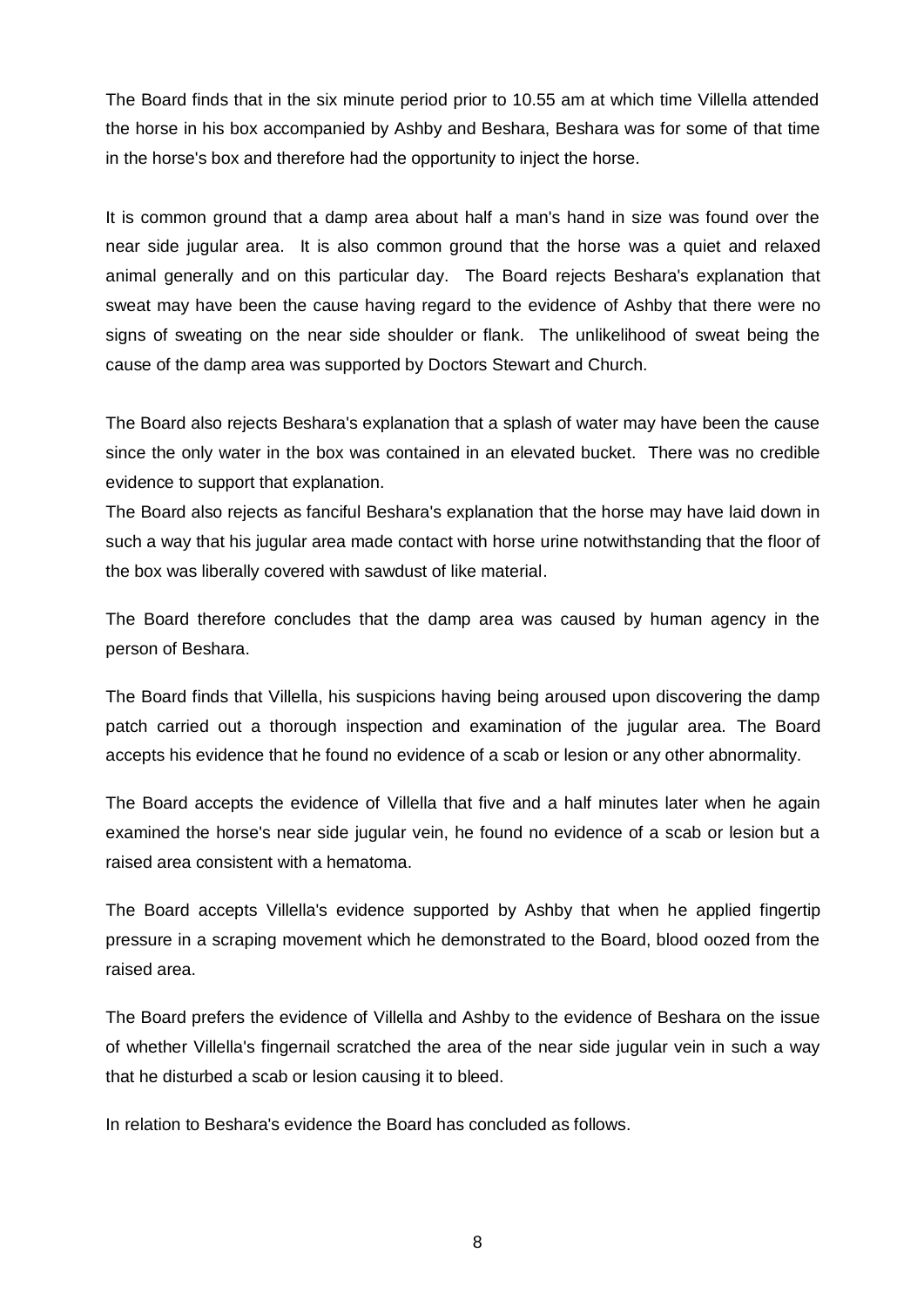The Board finds that in the six minute period prior to 10.55 am at which time Villella attended the horse in his box accompanied by Ashby and Beshara, Beshara was for some of that time in the horse's box and therefore had the opportunity to inject the horse.

It is common ground that a damp area about half a man's hand in size was found over the near side jugular area. It is also common ground that the horse was a quiet and relaxed animal generally and on this particular day. The Board rejects Beshara's explanation that sweat may have been the cause having regard to the evidence of Ashby that there were no signs of sweating on the near side shoulder or flank. The unlikelihood of sweat being the cause of the damp area was supported by Doctors Stewart and Church.

The Board also rejects Beshara's explanation that a splash of water may have been the cause since the only water in the box was contained in an elevated bucket. There was no credible evidence to support that explanation.

The Board also rejects as fanciful Beshara's explanation that the horse may have laid down in such a way that his jugular area made contact with horse urine notwithstanding that the floor of the box was liberally covered with sawdust of like material.

The Board therefore concludes that the damp area was caused by human agency in the person of Beshara.

The Board finds that Villella, his suspicions having being aroused upon discovering the damp patch carried out a thorough inspection and examination of the jugular area. The Board accepts his evidence that he found no evidence of a scab or lesion or any other abnormality.

The Board accepts the evidence of Villella that five and a half minutes later when he again examined the horse's near side jugular vein, he found no evidence of a scab or lesion but a raised area consistent with a hematoma.

The Board accepts Villella's evidence supported by Ashby that when he applied fingertip pressure in a scraping movement which he demonstrated to the Board, blood oozed from the raised area.

The Board prefers the evidence of Villella and Ashby to the evidence of Beshara on the issue of whether Villella's fingernail scratched the area of the near side jugular vein in such a way that he disturbed a scab or lesion causing it to bleed.

In relation to Beshara's evidence the Board has concluded as follows.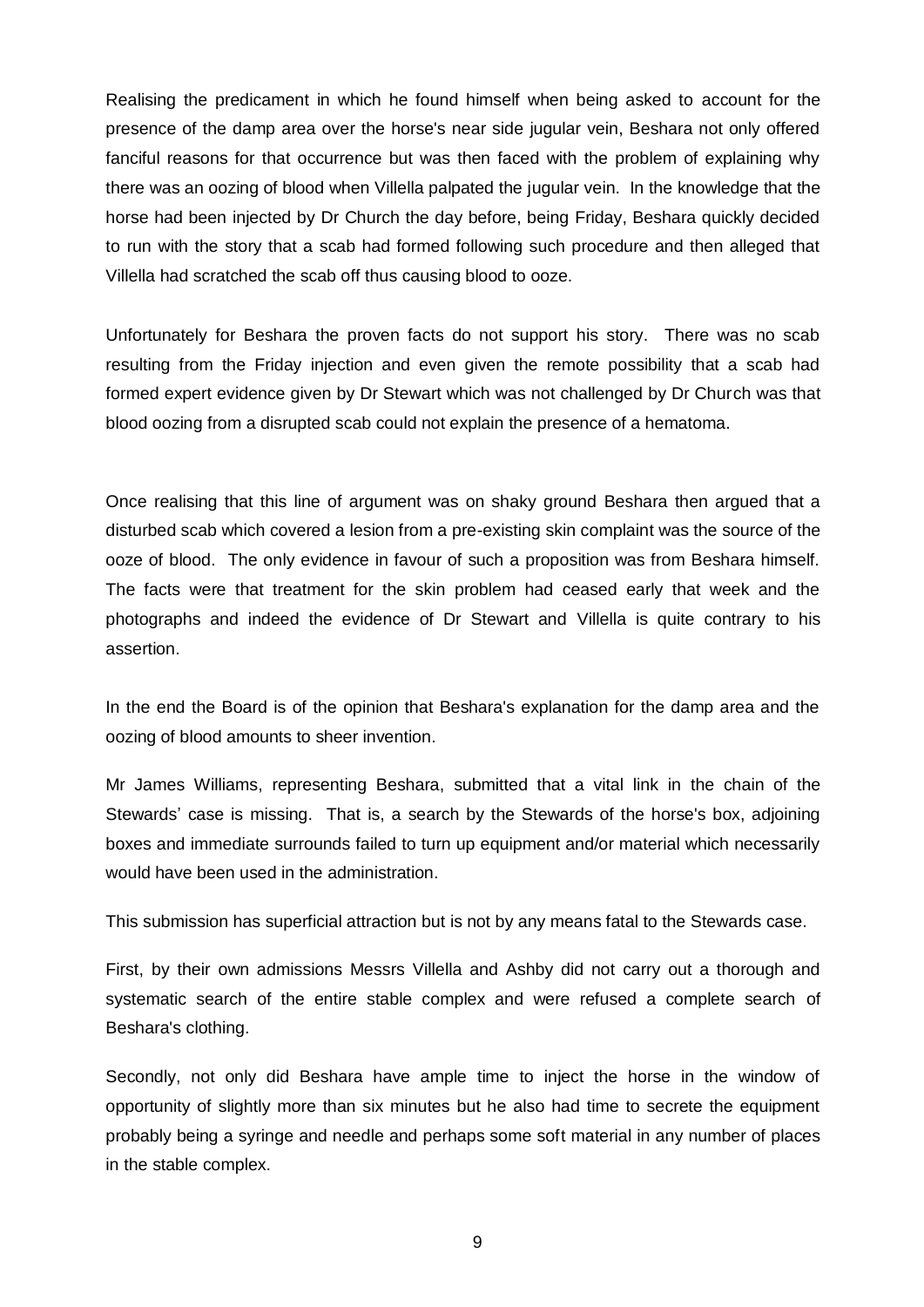Realising the predicament in which he found himself when being asked to account for the presence of the damp area over the horse's near side jugular vein, Beshara not only offered fanciful reasons for that occurrence but was then faced with the problem of explaining why there was an oozing of blood when Villella palpated the jugular vein. In the knowledge that the horse had been injected by Dr Church the day before, being Friday, Beshara quickly decided to run with the story that a scab had formed following such procedure and then alleged that Villella had scratched the scab off thus causing blood to ooze.

Unfortunately for Beshara the proven facts do not support his story. There was no scab resulting from the Friday injection and even given the remote possibility that a scab had formed expert evidence given by Dr Stewart which was not challenged by Dr Church was that blood oozing from a disrupted scab could not explain the presence of a hematoma.

Once realising that this line of argument was on shaky ground Beshara then argued that a disturbed scab which covered a lesion from a pre-existing skin complaint was the source of the ooze of blood. The only evidence in favour of such a proposition was from Beshara himself. The facts were that treatment for the skin problem had ceased early that week and the photographs and indeed the evidence of Dr Stewart and Villella is quite contrary to his assertion.

In the end the Board is of the opinion that Beshara's explanation for the damp area and the oozing of blood amounts to sheer invention.

Mr James Williams, representing Beshara, submitted that a vital link in the chain of the Stewards' case is missing. That is, a search by the Stewards of the horse's box, adjoining boxes and immediate surrounds failed to turn up equipment and/or material which necessarily would have been used in the administration.

This submission has superficial attraction but is not by any means fatal to the Stewards case.

First, by their own admissions Messrs Villella and Ashby did not carry out a thorough and systematic search of the entire stable complex and were refused a complete search of Beshara's clothing.

Secondly, not only did Beshara have ample time to inject the horse in the window of opportunity of slightly more than six minutes but he also had time to secrete the equipment probably being a syringe and needle and perhaps some soft material in any number of places in the stable complex.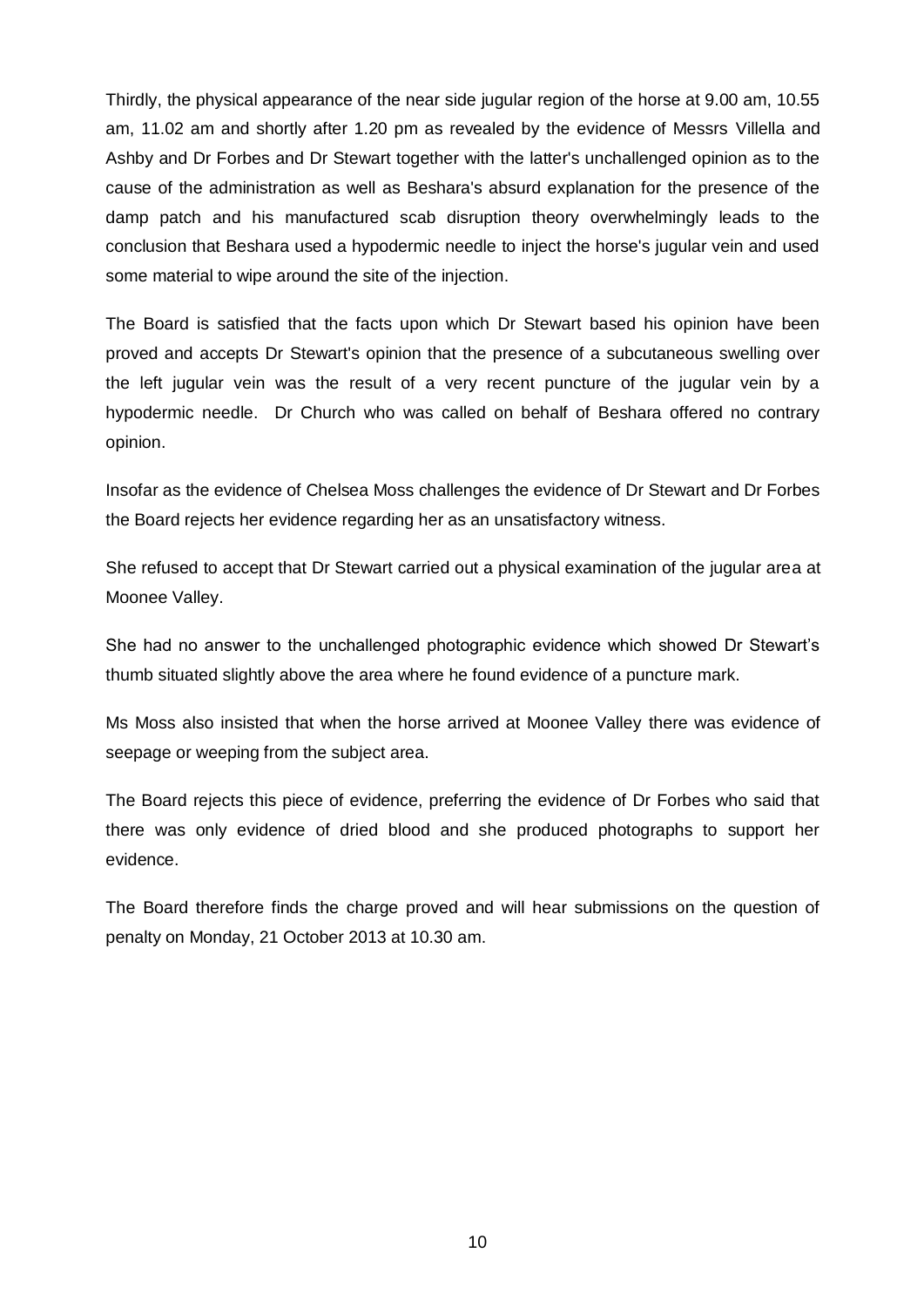Thirdly, the physical appearance of the near side jugular region of the horse at 9.00 am, 10.55 am, 11.02 am and shortly after 1.20 pm as revealed by the evidence of Messrs Villella and Ashby and Dr Forbes and Dr Stewart together with the latter's unchallenged opinion as to the cause of the administration as well as Beshara's absurd explanation for the presence of the damp patch and his manufactured scab disruption theory overwhelmingly leads to the conclusion that Beshara used a hypodermic needle to inject the horse's jugular vein and used some material to wipe around the site of the injection.

The Board is satisfied that the facts upon which Dr Stewart based his opinion have been proved and accepts Dr Stewart's opinion that the presence of a subcutaneous swelling over the left jugular vein was the result of a very recent puncture of the jugular vein by a hypodermic needle. Dr Church who was called on behalf of Beshara offered no contrary opinion.

Insofar as the evidence of Chelsea Moss challenges the evidence of Dr Stewart and Dr Forbes the Board rejects her evidence regarding her as an unsatisfactory witness.

She refused to accept that Dr Stewart carried out a physical examination of the jugular area at Moonee Valley.

She had no answer to the unchallenged photographic evidence which showed Dr Stewart's thumb situated slightly above the area where he found evidence of a puncture mark.

Ms Moss also insisted that when the horse arrived at Moonee Valley there was evidence of seepage or weeping from the subject area.

The Board rejects this piece of evidence, preferring the evidence of Dr Forbes who said that there was only evidence of dried blood and she produced photographs to support her evidence.

The Board therefore finds the charge proved and will hear submissions on the question of penalty on Monday, 21 October 2013 at 10.30 am.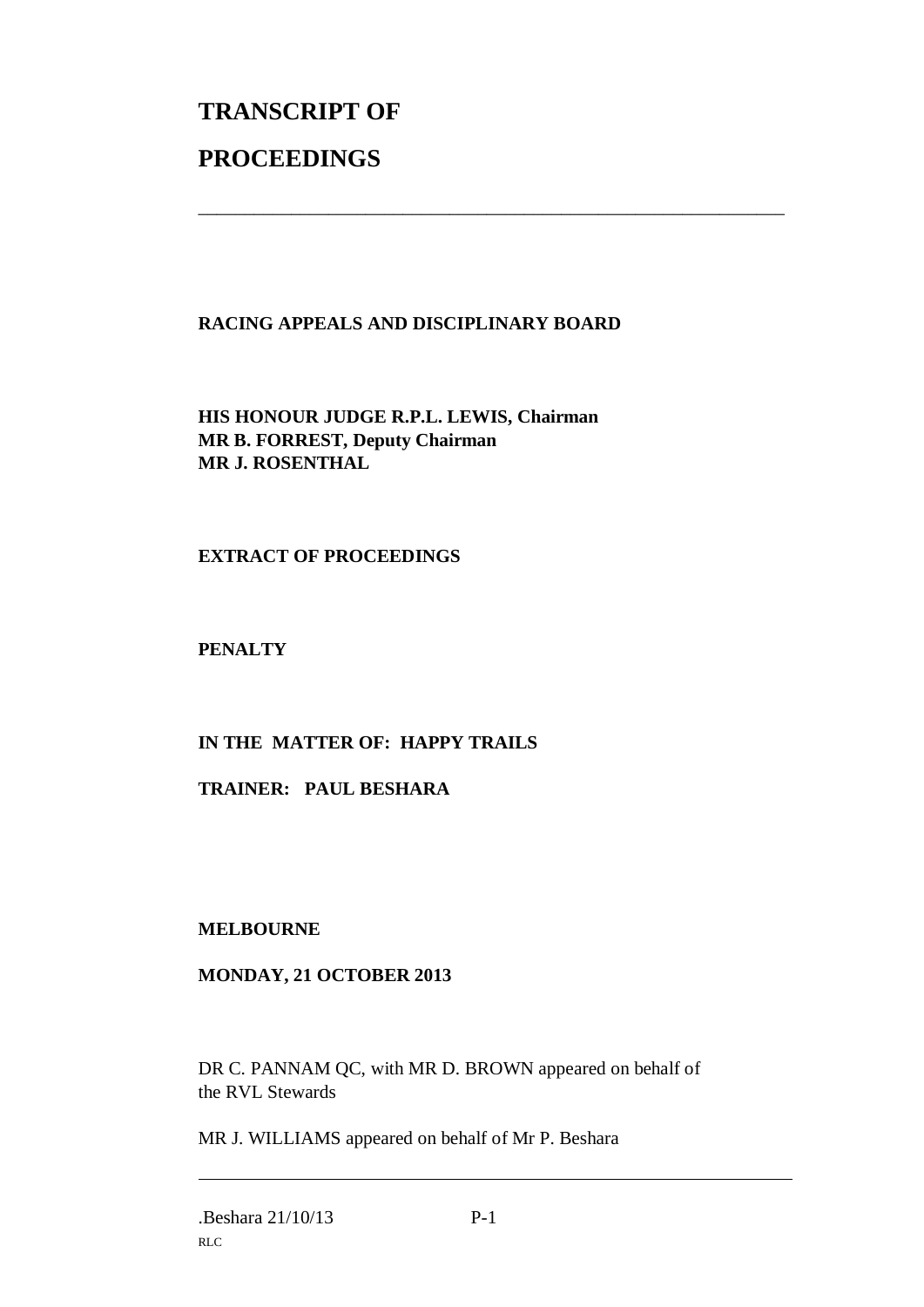# **TRANSCRIPT OF PROCEEDINGS**

# **RACING APPEALS AND DISCIPLINARY BOARD**

\_\_\_\_\_\_\_\_\_\_\_\_\_\_\_\_\_\_\_\_\_\_\_\_\_\_\_\_\_\_\_\_\_\_\_\_\_\_\_\_\_\_\_\_\_\_\_\_\_\_\_\_\_\_\_\_\_\_\_\_\_\_\_

**HIS HONOUR JUDGE R.P.L. LEWIS, Chairman MR B. FORREST, Deputy Chairman MR J. ROSENTHAL**

# **EXTRACT OF PROCEEDINGS**

**PENALTY**

# **IN THE MATTER OF: HAPPY TRAILS**

**TRAINER: PAUL BESHARA**

**MELBOURNE**

# **MONDAY, 21 OCTOBER 2013**

DR C. PANNAM QC, with MR D. BROWN appeared on behalf of the RVL Stewards

MR J. WILLIAMS appeared on behalf of Mr P. Beshara